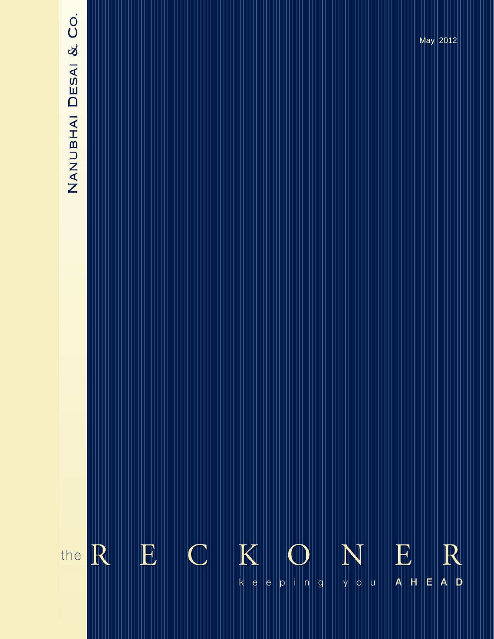# NANUBHAI DESAI & CO.

 $\overline{\mathbf{K}}$ E  $\mathbb C$  $N_{\rm v}$  $\begin{array}{c}\n\mathbf{E} \\
\mathbf{A} \end{array}$ the R  $R$  $\overline{E}$  $||u$  $k||e$  $\theta$  $p \mid i \mid n$  $\mathsf{g}$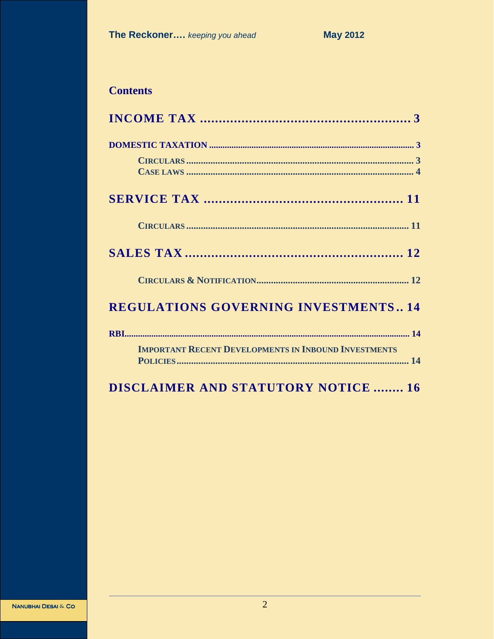# **Contents**

| <b>REGULATIONS GOVERNING INVESTMENTS 14</b>                 |
|-------------------------------------------------------------|
|                                                             |
| <b>IMPORTANT RECENT DEVELOPMENTS IN INBOUND INVESTMENTS</b> |
| <b>DISCLAIMER AND STATUTORY NOTICE  16</b>                  |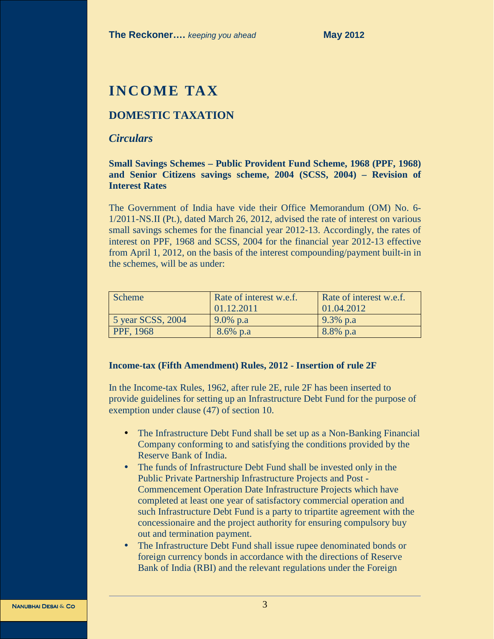# **INCOME TAX**

# **DOMESTIC TAXATION**

# *Circulars*

# **Small Savings Schemes – Public Provident Fund Scheme, 1968 (PPF, 1968) and Senior Citizens savings scheme, 2004 (SCSS, 2004) – Revision of Interest Rates**

The Government of India have vide their Office Memorandum (OM) No. 6- 1/2011-NS.II (Pt.), dated March 26, 2012, advised the rate of interest on various small savings schemes for the financial year 2012-13. Accordingly, the rates of interest on PPF, 1968 and SCSS, 2004 for the financial year 2012-13 effective from April 1, 2012, on the basis of the interest compounding/payment built-in in the schemes, will be as under:

| Scheme            | Rate of interest w.e.f.<br>01.12.2011 | Rate of interest w.e.f.<br>01.04.2012 |
|-------------------|---------------------------------------|---------------------------------------|
| 5 year SCSS, 2004 | $9.0\%$ p.a                           | $9.3\%$ p.a                           |
| PPF, 1968         | $8.6\%$ p.a                           | 8.8% p.a                              |

## **Income-tax (Fifth Amendment) Rules, 2012 - Insertion of rule 2F**

In the Income-tax Rules, 1962, after rule 2E, rule 2F has been inserted to provide guidelines for setting up an Infrastructure Debt Fund for the purpose of exemption under clause (47) of section 10.

- The Infrastructure Debt Fund shall be set up as a Non-Banking Financial Company conforming to and satisfying the conditions provided by the Reserve Bank of India.
- The funds of Infrastructure Debt Fund shall be invested only in the Public Private Partnership Infrastructure Projects and Post - Commencement Operation Date Infrastructure Projects which have completed at least one year of satisfactory commercial operation and such Infrastructure Debt Fund is a party to tripartite agreement with the concessionaire and the project authority for ensuring compulsory buy out and termination payment.
- The Infrastructure Debt Fund shall issue rupee denominated bonds or foreign currency bonds in accordance with the directions of Reserve Bank of India (RBI) and the relevant regulations under the Foreign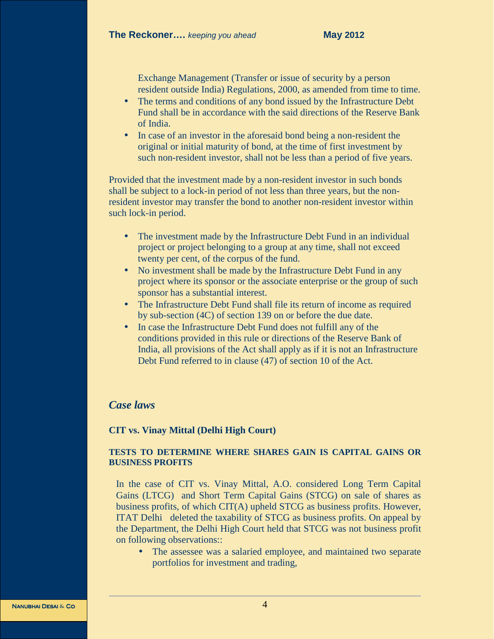Exchange Management (Transfer or issue of security by a person resident outside India) Regulations, 2000, as amended from time to time.

- The terms and conditions of any bond issued by the Infrastructure Debt Fund shall be in accordance with the said directions of the Reserve Bank of India.
- In case of an investor in the aforesaid bond being a non-resident the original or initial maturity of bond, at the time of first investment by such non-resident investor, shall not be less than a period of five years.

Provided that the investment made by a non-resident investor in such bonds shall be subject to a lock-in period of not less than three years, but the nonresident investor may transfer the bond to another non-resident investor within such lock-in period.

- The investment made by the Infrastructure Debt Fund in an individual project or project belonging to a group at any time, shall not exceed twenty per cent, of the corpus of the fund.
- No investment shall be made by the Infrastructure Debt Fund in any project where its sponsor or the associate enterprise or the group of such sponsor has a substantial interest.
- The Infrastructure Debt Fund shall file its return of income as required by sub-section (4C) of section 139 on or before the due date.
- In case the Infrastructure Debt Fund does not fulfill any of the conditions provided in this rule or directions of the Reserve Bank of India, all provisions of the Act shall apply as if it is not an Infrastructure Debt Fund referred to in clause (47) of section 10 of the Act.

# *Case laws*

## **CIT vs. Vinay Mittal (Delhi High Court)**

# **TESTS TO DETERMINE WHERE SHARES GAIN IS CAPITAL GAINS OR BUSINESS PROFITS**

In the case of CIT vs. Vinay Mittal, A.O. considered Long Term Capital Gains (LTCG) and Short Term Capital Gains (STCG) on sale of shares as business profits, of which CIT(A) upheld STCG as business profits. However, ITAT Delhi deleted the taxability of STCG as business profits. On appeal by the Department, the Delhi High Court held that STCG was not business profit on following observations::

• The assessee was a salaried employee, and maintained two separate portfolios for investment and trading,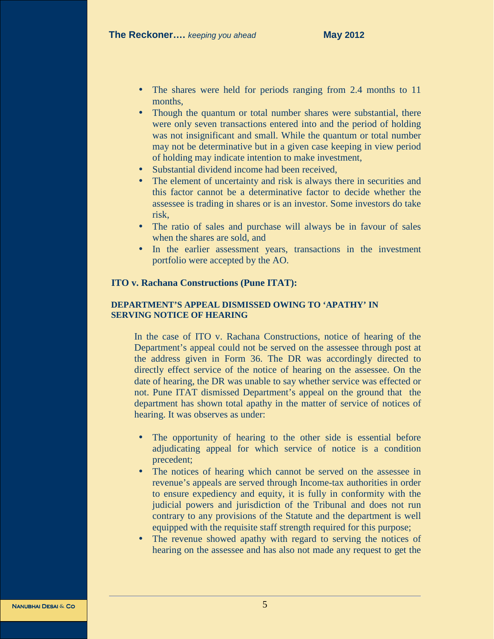- The shares were held for periods ranging from 2.4 months to 11 months,
- Though the quantum or total number shares were substantial, there were only seven transactions entered into and the period of holding was not insignificant and small. While the quantum or total number may not be determinative but in a given case keeping in view period of holding may indicate intention to make investment,
- Substantial dividend income had been received,
- The element of uncertainty and risk is always there in securities and this factor cannot be a determinative factor to decide whether the assessee is trading in shares or is an investor. Some investors do take risk,
- The ratio of sales and purchase will always be in favour of sales when the shares are sold, and
- In the earlier assessment years, transactions in the investment portfolio were accepted by the AO.

## **ITO v. Rachana Constructions (Pune ITAT):**

#### **DEPARTMENT'S APPEAL DISMISSED OWING TO 'APATHY' IN SERVING NOTICE OF HEARING**

In the case of ITO v. Rachana Constructions, notice of hearing of the Department's appeal could not be served on the assessee through post at the address given in Form 36. The DR was accordingly directed to directly effect service of the notice of hearing on the assessee. On the date of hearing, the DR was unable to say whether service was effected or not. Pune ITAT dismissed Department's appeal on the ground that the department has shown total apathy in the matter of service of notices of hearing. It was observes as under:

- The opportunity of hearing to the other side is essential before adjudicating appeal for which service of notice is a condition precedent;
- The notices of hearing which cannot be served on the assessee in revenue's appeals are served through Income-tax authorities in order to ensure expediency and equity, it is fully in conformity with the judicial powers and jurisdiction of the Tribunal and does not run contrary to any provisions of the Statute and the department is well equipped with the requisite staff strength required for this purpose;
- The revenue showed apathy with regard to serving the notices of hearing on the assessee and has also not made any request to get the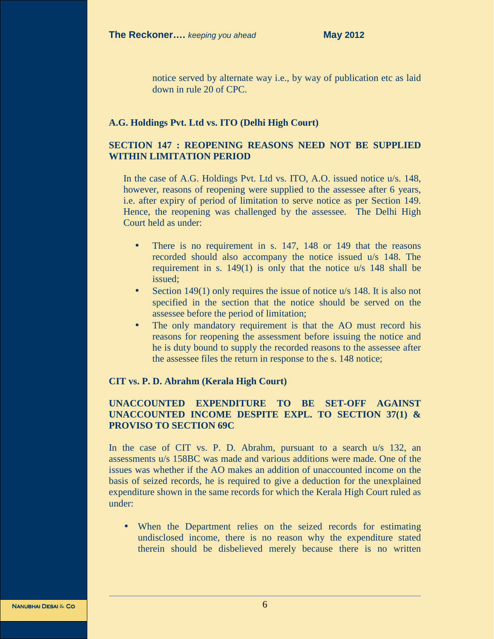notice served by alternate way i.e., by way of publication etc as laid down in rule 20 of CPC.

#### **A.G. Holdings Pvt. Ltd vs. ITO (Delhi High Court)**

# **SECTION 147 : REOPENING REASONS NEED NOT BE SUPPLIED WITHIN LIMITATION PERIOD**

In the case of A.G. Holdings Pvt. Ltd vs. ITO, A.O. issued notice u/s. 148, however, reasons of reopening were supplied to the assessee after 6 years, i.e. after expiry of period of limitation to serve notice as per Section 149. Hence, the reopening was challenged by the assessee. The Delhi High Court held as under:

- There is no requirement in s. 147, 148 or 149 that the reasons recorded should also accompany the notice issued u/s 148. The requirement in s. 149(1) is only that the notice u/s 148 shall be issued;
- Section 149(1) only requires the issue of notice  $u/s$  148. It is also not specified in the section that the notice should be served on the assessee before the period of limitation;
- The only mandatory requirement is that the AO must record his reasons for reopening the assessment before issuing the notice and he is duty bound to supply the recorded reasons to the assessee after the assessee files the return in response to the s. 148 notice;

#### **CIT vs. P. D. Abrahm (Kerala High Court)**

# **UNACCOUNTED EXPENDITURE TO BE SET-OFF AGAINST UNACCOUNTED INCOME DESPITE EXPL. TO SECTION 37(1) & PROVISO TO SECTION 69C**

In the case of CIT vs. P. D. Abrahm, pursuant to a search u/s 132, an assessments u/s 158BC was made and various additions were made. One of the issues was whether if the AO makes an addition of unaccounted income on the basis of seized records, he is required to give a deduction for the unexplained expenditure shown in the same records for which the Kerala High Court ruled as under:

• When the Department relies on the seized records for estimating undisclosed income, there is no reason why the expenditure stated therein should be disbelieved merely because there is no written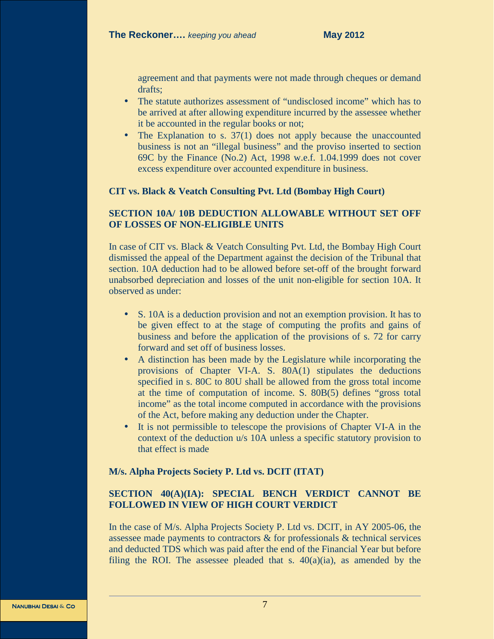agreement and that payments were not made through cheques or demand drafts;

- The statute authorizes assessment of "undisclosed income" which has to be arrived at after allowing expenditure incurred by the assessee whether it be accounted in the regular books or not;
- The Explanation to s. 37(1) does not apply because the unaccounted business is not an "illegal business" and the proviso inserted to section 69C by the Finance (No.2) Act, 1998 w.e.f. 1.04.1999 does not cover excess expenditure over accounted expenditure in business.

#### **CIT vs. Black & Veatch Consulting Pvt. Ltd (Bombay High Court)**

# **SECTION 10A/ 10B DEDUCTION ALLOWABLE WITHOUT SET OFF OF LOSSES OF NON-ELIGIBLE UNITS**

In case of CIT vs. Black & Veatch Consulting Pvt. Ltd, the Bombay High Court dismissed the appeal of the Department against the decision of the Tribunal that section. 10A deduction had to be allowed before set-off of the brought forward unabsorbed depreciation and losses of the unit non-eligible for section 10A. It observed as under:

- S. 10A is a deduction provision and not an exemption provision. It has to be given effect to at the stage of computing the profits and gains of business and before the application of the provisions of s. 72 for carry forward and set off of business losses.
- A distinction has been made by the Legislature while incorporating the provisions of Chapter VI-A. S. 80A(1) stipulates the deductions specified in s. 80C to 80U shall be allowed from the gross total income at the time of computation of income. S. 80B(5) defines "gross total income" as the total income computed in accordance with the provisions of the Act, before making any deduction under the Chapter.
- It is not permissible to telescope the provisions of Chapter VI-A in the context of the deduction u/s 10A unless a specific statutory provision to that effect is made

#### **M/s. Alpha Projects Society P. Ltd vs. DCIT (ITAT)**

# **SECTION 40(A)(IA): SPECIAL BENCH VERDICT CANNOT BE FOLLOWED IN VIEW OF HIGH COURT VERDICT**

In the case of M/s. Alpha Projects Society P. Ltd vs. DCIT, in AY 2005-06, the assessee made payments to contractors & for professionals & technical services and deducted TDS which was paid after the end of the Financial Year but before filing the ROI. The assessee pleaded that s.  $40(a)(ia)$ , as amended by the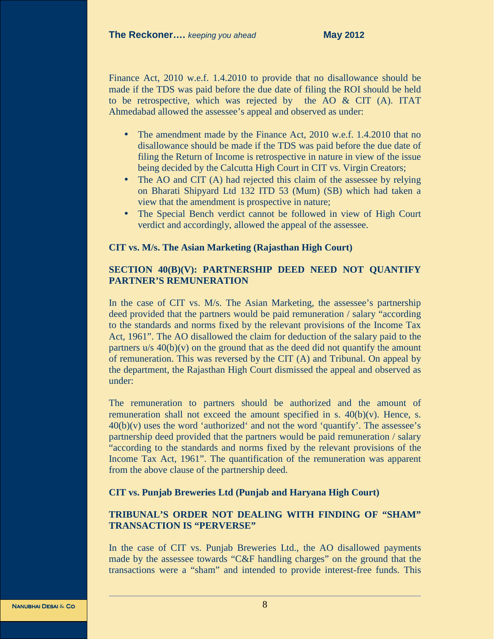Finance Act, 2010 w.e.f. 1.4.2010 to provide that no disallowance should be made if the TDS was paid before the due date of filing the ROI should be held to be retrospective, which was rejected by the AO & CIT (A). ITAT Ahmedabad allowed the assessee's appeal and observed as under:

- The amendment made by the Finance Act, 2010 w.e.f. 1.4.2010 that no disallowance should be made if the TDS was paid before the due date of filing the Return of Income is retrospective in nature in view of the issue being decided by the Calcutta High Court in CIT vs. Virgin Creators;
- The AO and CIT (A) had rejected this claim of the assessee by relying on Bharati Shipyard Ltd 132 ITD 53 (Mum) (SB) which had taken a view that the amendment is prospective in nature;
- The Special Bench verdict cannot be followed in view of High Court verdict and accordingly, allowed the appeal of the assessee.

## **CIT vs. M/s. The Asian Marketing (Rajasthan High Court)**

# **SECTION 40(B)(V): PARTNERSHIP DEED NEED NOT QUANTIFY PARTNER'S REMUNERATION**

In the case of CIT vs. M/s. The Asian Marketing, the assessee's partnership deed provided that the partners would be paid remuneration / salary "according to the standards and norms fixed by the relevant provisions of the Income Tax Act, 1961". The AO disallowed the claim for deduction of the salary paid to the partners  $u/s$  40(b)(v) on the ground that as the deed did not quantify the amount of remuneration. This was reversed by the CIT (A) and Tribunal. On appeal by the department, the Rajasthan High Court dismissed the appeal and observed as under:

The remuneration to partners should be authorized and the amount of remuneration shall not exceed the amount specified in s.  $40(b)(v)$ . Hence, s.  $40(b)(v)$  uses the word 'authorized' and not the word 'quantify'. The assessee's partnership deed provided that the partners would be paid remuneration / salary "according to the standards and norms fixed by the relevant provisions of the Income Tax Act, 1961". The quantification of the remuneration was apparent from the above clause of the partnership deed.

#### **CIT vs. Punjab Breweries Ltd (Punjab and Haryana High Court)**

# **TRIBUNAL'S ORDER NOT DEALING WITH FINDING OF "SHAM" TRANSACTION IS "PERVERSE"**

In the case of CIT vs. Punjab Breweries Ltd., the AO disallowed payments made by the assessee towards "C&F handling charges" on the ground that the transactions were a "sham" and intended to provide interest-free funds. This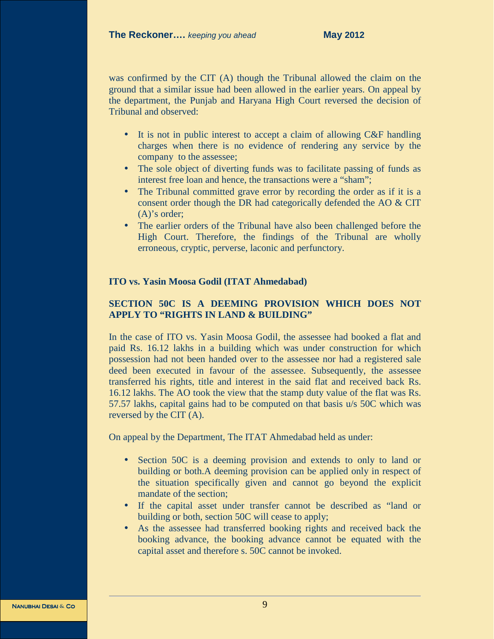was confirmed by the CIT (A) though the Tribunal allowed the claim on the ground that a similar issue had been allowed in the earlier years. On appeal by the department, the Punjab and Haryana High Court reversed the decision of Tribunal and observed:

- It is not in public interest to accept a claim of allowing  $C\&F$  handling charges when there is no evidence of rendering any service by the company to the assessee;
- The sole object of diverting funds was to facilitate passing of funds as interest free loan and hence, the transactions were a "sham";
- The Tribunal committed grave error by recording the order as if it is a consent order though the DR had categorically defended the AO & CIT (A)'s order;
- The earlier orders of the Tribunal have also been challenged before the High Court. Therefore, the findings of the Tribunal are wholly erroneous, cryptic, perverse, laconic and perfunctory.

# **ITO vs. Yasin Moosa Godil (ITAT Ahmedabad)**

# **SECTION 50C IS A DEEMING PROVISION WHICH DOES NOT APPLY TO "RIGHTS IN LAND & BUILDING"**

In the case of ITO vs. Yasin Moosa Godil, the assessee had booked a flat and paid Rs. 16.12 lakhs in a building which was under construction for which possession had not been handed over to the assessee nor had a registered sale deed been executed in favour of the assessee. Subsequently, the assessee transferred his rights, title and interest in the said flat and received back Rs. 16.12 lakhs. The AO took the view that the stamp duty value of the flat was Rs. 57.57 lakhs, capital gains had to be computed on that basis u/s 50C which was reversed by the CIT (A).

On appeal by the Department, The ITAT Ahmedabad held as under:

- Section 50C is a deeming provision and extends to only to land or building or both.A deeming provision can be applied only in respect of the situation specifically given and cannot go beyond the explicit mandate of the section;
- If the capital asset under transfer cannot be described as "land or building or both, section 50C will cease to apply;
- As the assessee had transferred booking rights and received back the booking advance, the booking advance cannot be equated with the capital asset and therefore s. 50C cannot be invoked.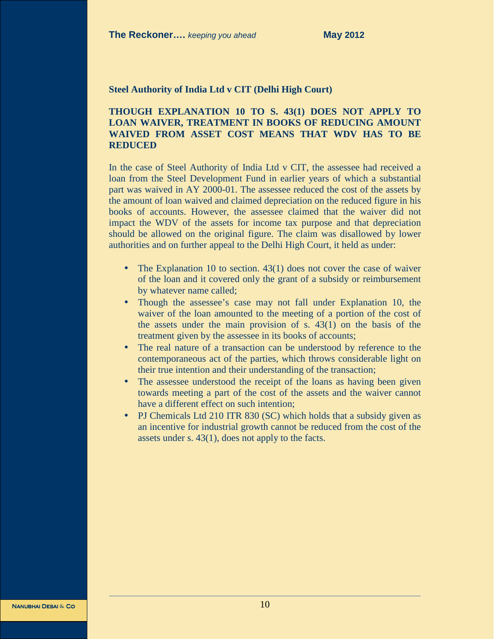#### **Steel Authority of India Ltd v CIT (Delhi High Court)**

# **THOUGH EXPLANATION 10 TO S. 43(1) DOES NOT APPLY TO LOAN WAIVER, TREATMENT IN BOOKS OF REDUCING AMOUNT WAIVED FROM ASSET COST MEANS THAT WDV HAS TO BE REDUCED**

In the case of Steel Authority of India Ltd v CIT, the assessee had received a loan from the Steel Development Fund in earlier years of which a substantial part was waived in AY 2000-01. The assessee reduced the cost of the assets by the amount of loan waived and claimed depreciation on the reduced figure in his books of accounts. However, the assessee claimed that the waiver did not impact the WDV of the assets for income tax purpose and that depreciation should be allowed on the original figure. The claim was disallowed by lower authorities and on further appeal to the Delhi High Court, it held as under:

- The Explanation 10 to section. 43(1) does not cover the case of waiver of the loan and it covered only the grant of a subsidy or reimbursement by whatever name called;
- Though the assessee's case may not fall under Explanation 10, the waiver of the loan amounted to the meeting of a portion of the cost of the assets under the main provision of s. 43(1) on the basis of the treatment given by the assessee in its books of accounts;
- The real nature of a transaction can be understood by reference to the contemporaneous act of the parties, which throws considerable light on their true intention and their understanding of the transaction;
- The assessee understood the receipt of the loans as having been given towards meeting a part of the cost of the assets and the waiver cannot have a different effect on such intention;
- PJ Chemicals Ltd 210 ITR 830 (SC) which holds that a subsidy given as an incentive for industrial growth cannot be reduced from the cost of the assets under s. 43(1), does not apply to the facts.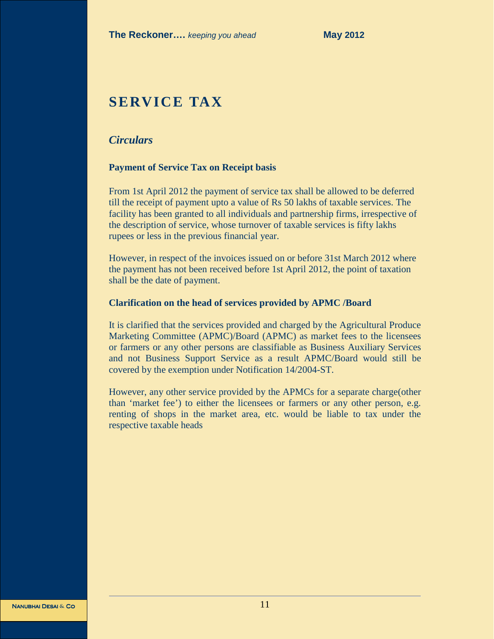# **SERVICE TAX**

# *Circulars*

#### **Payment of Service Tax on Receipt basis**

From 1st April 2012 the payment of service tax shall be allowed to be deferred till the receipt of payment upto a value of Rs 50 lakhs of taxable services. The facility has been granted to all individuals and partnership firms, irrespective of the description of service, whose turnover of taxable services is fifty lakhs rupees or less in the previous financial year.

However, in respect of the invoices issued on or before 31st March 2012 where the payment has not been received before 1st April 2012, the point of taxation shall be the date of payment.

#### **Clarification on the head of services provided by APMC /Board**

It is clarified that the services provided and charged by the Agricultural Produce Marketing Committee (APMC)/Board (APMC) as market fees to the licensees or farmers or any other persons are classifiable as Business Auxiliary Services and not Business Support Service as a result APMC/Board would still be covered by the exemption under Notification 14/2004-ST.

However, any other service provided by the APMCs for a separate charge(other than 'market fee') to either the licensees or farmers or any other person, e.g. renting of shops in the market area, etc. would be liable to tax under the respective taxable heads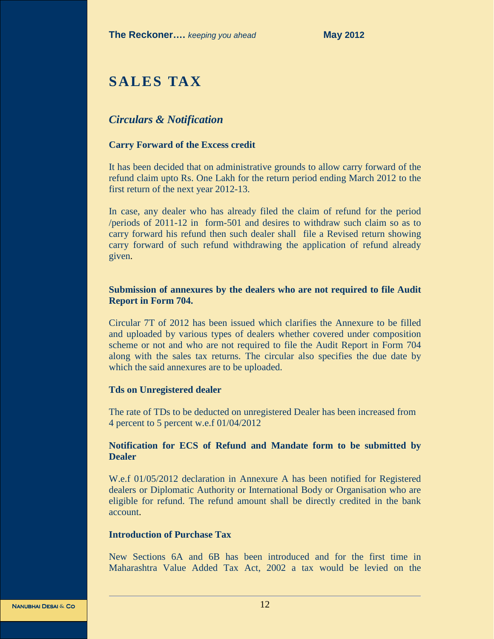# **SALES TAX**

# *Circulars & Notification*

## **Carry Forward of the Excess credit**

It has been decided that on administrative grounds to allow carry forward of the refund claim upto Rs. One Lakh for the return period ending March 2012 to the first return of the next year 2012-13.

In case, any dealer who has already filed the claim of refund for the period /periods of 2011-12 in form-501 and desires to withdraw such claim so as to carry forward his refund then such dealer shall file a Revised return showing carry forward of such refund withdrawing the application of refund already given.

# **Submission of annexures by the dealers who are not required to file Audit Report in Form 704.**

Circular 7T of 2012 has been issued which clarifies the Annexure to be filled and uploaded by various types of dealers whether covered under composition scheme or not and who are not required to file the Audit Report in Form 704 along with the sales tax returns. The circular also specifies the due date by which the said annexures are to be uploaded.

## **Tds on Unregistered dealer**

The rate of TDs to be deducted on unregistered Dealer has been increased from 4 percent to 5 percent w.e.f 01/04/2012

# **Notification for ECS of Refund and Mandate form to be submitted by Dealer**

W.e.f 01/05/2012 declaration in Annexure A has been notified for Registered dealers or Diplomatic Authority or International Body or Organisation who are eligible for refund. The refund amount shall be directly credited in the bank account.

## **Introduction of Purchase Tax**

New Sections 6A and 6B has been introduced and for the first time in Maharashtra Value Added Tax Act, 2002 a tax would be levied on the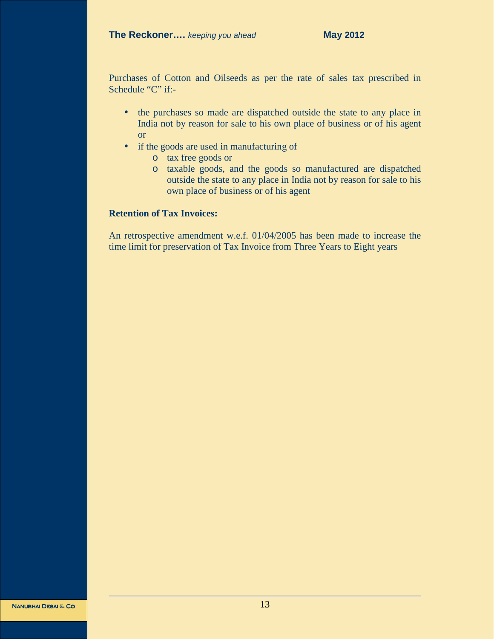Purchases of Cotton and Oilseeds as per the rate of sales tax prescribed in Schedule "C" if:-

- the purchases so made are dispatched outside the state to any place in India not by reason for sale to his own place of business or of his agent or
- if the goods are used in manufacturing of
	- o tax free goods or
	- o taxable goods, and the goods so manufactured are dispatched outside the state to any place in India not by reason for sale to his own place of business or of his agent

# **Retention of Tax Invoices:**

An retrospective amendment w.e.f. 01/04/2005 has been made to increase the time limit for preservation of Tax Invoice from Three Years to Eight years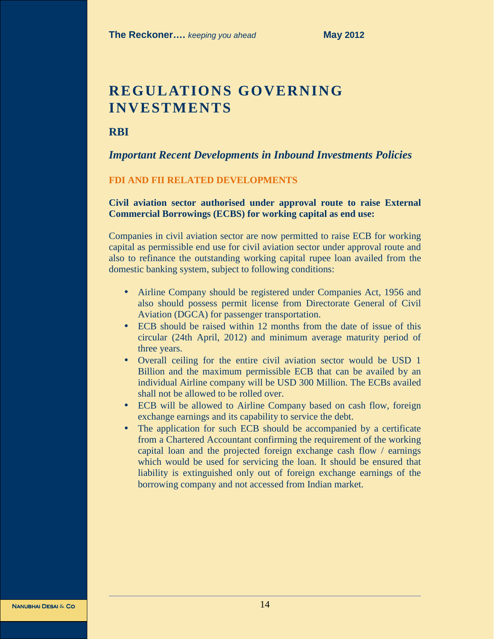# **REGULATIONS GOVERNING INVESTMENTS**

**RBI** 

*Important Recent Developments in Inbound Investments Policies* 

#### **FDI AND FII RELATED DEVELOPMENTS**

**Civil aviation sector authorised under approval route to raise External Commercial Borrowings (ECBS) for working capital as end use:** 

Companies in civil aviation sector are now permitted to raise ECB for working capital as permissible end use for civil aviation sector under approval route and also to refinance the outstanding working capital rupee loan availed from the domestic banking system, subject to following conditions:

- Airline Company should be registered under Companies Act, 1956 and also should possess permit license from Directorate General of Civil Aviation (DGCA) for passenger transportation.
- ECB should be raised within 12 months from the date of issue of this circular (24th April, 2012) and minimum average maturity period of three years.
- Overall ceiling for the entire civil aviation sector would be USD 1 Billion and the maximum permissible ECB that can be availed by an individual Airline company will be USD 300 Million. The ECBs availed shall not be allowed to be rolled over.
- ECB will be allowed to Airline Company based on cash flow, foreign exchange earnings and its capability to service the debt.
- The application for such ECB should be accompanied by a certificate from a Chartered Accountant confirming the requirement of the working capital loan and the projected foreign exchange cash flow / earnings which would be used for servicing the loan. It should be ensured that liability is extinguished only out of foreign exchange earnings of the borrowing company and not accessed from Indian market.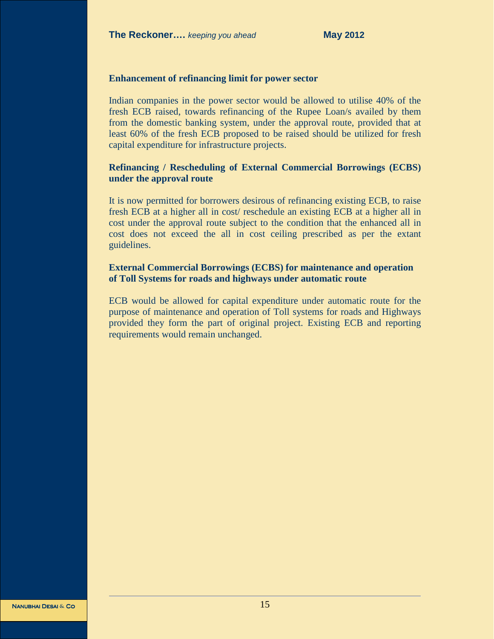#### **Enhancement of refinancing limit for power sector**

Indian companies in the power sector would be allowed to utilise 40% of the fresh ECB raised, towards refinancing of the Rupee Loan/s availed by them from the domestic banking system, under the approval route, provided that at least 60% of the fresh ECB proposed to be raised should be utilized for fresh capital expenditure for infrastructure projects.

#### **Refinancing / Rescheduling of External Commercial Borrowings (ECBS) under the approval route**

It is now permitted for borrowers desirous of refinancing existing ECB, to raise fresh ECB at a higher all in cost/ reschedule an existing ECB at a higher all in cost under the approval route subject to the condition that the enhanced all in cost does not exceed the all in cost ceiling prescribed as per the extant guidelines.

# **External Commercial Borrowings (ECBS) for maintenance and operation of Toll Systems for roads and highways under automatic route**

ECB would be allowed for capital expenditure under automatic route for the purpose of maintenance and operation of Toll systems for roads and Highways provided they form the part of original project. Existing ECB and reporting requirements would remain unchanged.